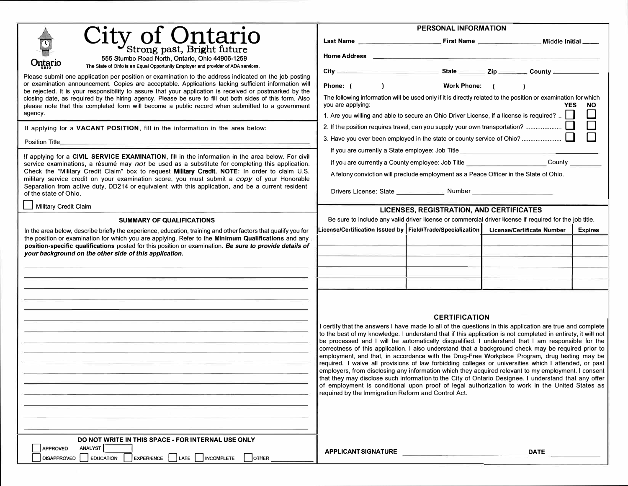|                                                                                                                                                                                                                        | PERSONAL INFORMATION                                                                                                                                                                                                                                                                                                                                                                                                                                                                                                                                                                                                                                                                                                                                                                                                                                                                                                                                                                                                                           |  |                            |                |  |  |
|------------------------------------------------------------------------------------------------------------------------------------------------------------------------------------------------------------------------|------------------------------------------------------------------------------------------------------------------------------------------------------------------------------------------------------------------------------------------------------------------------------------------------------------------------------------------------------------------------------------------------------------------------------------------------------------------------------------------------------------------------------------------------------------------------------------------------------------------------------------------------------------------------------------------------------------------------------------------------------------------------------------------------------------------------------------------------------------------------------------------------------------------------------------------------------------------------------------------------------------------------------------------------|--|----------------------------|----------------|--|--|
|                                                                                                                                                                                                                        |                                                                                                                                                                                                                                                                                                                                                                                                                                                                                                                                                                                                                                                                                                                                                                                                                                                                                                                                                                                                                                                |  |                            |                |  |  |
| City of Ontario<br>555 Stumbo Road North, Ontario, Ohio 44906-1259                                                                                                                                                     |                                                                                                                                                                                                                                                                                                                                                                                                                                                                                                                                                                                                                                                                                                                                                                                                                                                                                                                                                                                                                                                |  |                            |                |  |  |
| Ontario<br>The State of Ohio Is en Equal Opportunity Employer and provider of ADA services.                                                                                                                            | City County                                                                                                                                                                                                                                                                                                                                                                                                                                                                                                                                                                                                                                                                                                                                                                                                                                                                                                                                                                                                                                    |  |                            |                |  |  |
| Please submit one application per position or examination to the address indicated on the job posting<br>or examination announcement. Copies are acceptable. Applications lacking sufficient information will          | $\overline{a}$<br>Work Phone: (<br>Phone: (                                                                                                                                                                                                                                                                                                                                                                                                                                                                                                                                                                                                                                                                                                                                                                                                                                                                                                                                                                                                    |  |                            |                |  |  |
| be rejected. It is your responsibility to assure that your application is received or postmarked by the                                                                                                                |                                                                                                                                                                                                                                                                                                                                                                                                                                                                                                                                                                                                                                                                                                                                                                                                                                                                                                                                                                                                                                                |  |                            |                |  |  |
| closing date, as required by the hiring agency. Please be sure to fill out both sides of this form. Also<br>please note that this completed form will become a public record when submitted to a government<br>agency. | The following information will be used only if it is directly related to the position or examination for which<br>you are applying:<br><b>YES</b><br><b>NO</b><br>1. Are you willing and able to secure an Ohio Driver License, if a license is required?                                                                                                                                                                                                                                                                                                                                                                                                                                                                                                                                                                                                                                                                                                                                                                                      |  |                            |                |  |  |
|                                                                                                                                                                                                                        | $\Box$<br>2. If the position requires travel, can you supply your own transportation?                                                                                                                                                                                                                                                                                                                                                                                                                                                                                                                                                                                                                                                                                                                                                                                                                                                                                                                                                          |  |                            |                |  |  |
| If applying for a VACANT POSITION, fill in the information in the area below:                                                                                                                                          |                                                                                                                                                                                                                                                                                                                                                                                                                                                                                                                                                                                                                                                                                                                                                                                                                                                                                                                                                                                                                                                |  |                            |                |  |  |
| Position Title_                                                                                                                                                                                                        |                                                                                                                                                                                                                                                                                                                                                                                                                                                                                                                                                                                                                                                                                                                                                                                                                                                                                                                                                                                                                                                |  |                            |                |  |  |
| If applying for a CIVIL SERVICE EXAMINATION, fill in the information in the area below. For civil                                                                                                                      | If you are currently a State employee: Job Title _______________________________                                                                                                                                                                                                                                                                                                                                                                                                                                                                                                                                                                                                                                                                                                                                                                                                                                                                                                                                                               |  |                            |                |  |  |
| service examinations, a résumé may not be used as a substitute for completing this application.<br>Check the "Military Credit Claim" box to request Military Credit. NOTE: In order to claim U.S.                      | If you are currently a County employee: Job Title ____________________________County ______                                                                                                                                                                                                                                                                                                                                                                                                                                                                                                                                                                                                                                                                                                                                                                                                                                                                                                                                                    |  |                            |                |  |  |
| military service credit on your examination score, you must submit a copy of your Honorable                                                                                                                            | A felony conviction will preclude employment as a Peace Officer in the State of Ohio.                                                                                                                                                                                                                                                                                                                                                                                                                                                                                                                                                                                                                                                                                                                                                                                                                                                                                                                                                          |  |                            |                |  |  |
| Separation from active duty, DD214 or equivalent with this application, and be a current resident<br>of the state of Ohio.                                                                                             |                                                                                                                                                                                                                                                                                                                                                                                                                                                                                                                                                                                                                                                                                                                                                                                                                                                                                                                                                                                                                                                |  |                            |                |  |  |
| Military Credit Claim                                                                                                                                                                                                  | <b>LICENSES, REGISTRATION, AND CERTIFICATES</b>                                                                                                                                                                                                                                                                                                                                                                                                                                                                                                                                                                                                                                                                                                                                                                                                                                                                                                                                                                                                |  |                            |                |  |  |
| <b>SUMMARY OF QUALIFICATIONS</b>                                                                                                                                                                                       | Be sure to include any valid driver license or commercial driver license if required for the job title.                                                                                                                                                                                                                                                                                                                                                                                                                                                                                                                                                                                                                                                                                                                                                                                                                                                                                                                                        |  |                            |                |  |  |
| In the area below, describe briefly the experience, education, training and other factors that qualify you for                                                                                                         | License/Certification Issued by $\mid$ Field/Trade/Specialization $\mid$                                                                                                                                                                                                                                                                                                                                                                                                                                                                                                                                                                                                                                                                                                                                                                                                                                                                                                                                                                       |  | License/Certificate Number | <b>Expires</b> |  |  |
| the position or examination for which you are applying. Refer to the Minimum Qualifications and any<br>position-specific qualifications posted for this position or examination. Be sure to provide details of         |                                                                                                                                                                                                                                                                                                                                                                                                                                                                                                                                                                                                                                                                                                                                                                                                                                                                                                                                                                                                                                                |  |                            |                |  |  |
| your background on the other side of this application.                                                                                                                                                                 |                                                                                                                                                                                                                                                                                                                                                                                                                                                                                                                                                                                                                                                                                                                                                                                                                                                                                                                                                                                                                                                |  |                            |                |  |  |
|                                                                                                                                                                                                                        |                                                                                                                                                                                                                                                                                                                                                                                                                                                                                                                                                                                                                                                                                                                                                                                                                                                                                                                                                                                                                                                |  |                            |                |  |  |
|                                                                                                                                                                                                                        |                                                                                                                                                                                                                                                                                                                                                                                                                                                                                                                                                                                                                                                                                                                                                                                                                                                                                                                                                                                                                                                |  |                            |                |  |  |
|                                                                                                                                                                                                                        |                                                                                                                                                                                                                                                                                                                                                                                                                                                                                                                                                                                                                                                                                                                                                                                                                                                                                                                                                                                                                                                |  |                            |                |  |  |
| DO NOT WRITE IN THIS SPACE - FOR INTERNAL USE ONLY                                                                                                                                                                     | <b>CERTIFICATION</b><br>I certify that the answers I have made to all of the questions in this application are true and complete<br>to the best of my knowledge. I understand that if this application is not completed in entirety, it will not<br>be processed and I will be automatically disqualified. I understand that I am responsible for the<br>correctness of this application. I also understand that a background check may be required prior to<br>employment, and that, in accordance with the Drug-Free Workplace Program, drug testing may be<br>required. I waive all provisions of law forbidding colleges or universities which I attended, or past<br>employers, from disclosing any information which they acquired relevant to my employment. I consent<br>that they may disclose such information to the City of Ontario Designee. I understand that any offer<br>of employment is conditional upon proof of legal authorization to work in the United States as<br>required by the Immigration Reform and Control Act. |  |                            |                |  |  |
| ANALYST<br><b>APPROVED</b>                                                                                                                                                                                             | APPLICANT SIGNATURE                                                                                                                                                                                                                                                                                                                                                                                                                                                                                                                                                                                                                                                                                                                                                                                                                                                                                                                                                                                                                            |  | <b>DATE</b>                |                |  |  |
| DISAPPROVED EDUCATION<br>EXPERIENCE LATE INCOMPLETE<br><b>OTHER</b>                                                                                                                                                    |                                                                                                                                                                                                                                                                                                                                                                                                                                                                                                                                                                                                                                                                                                                                                                                                                                                                                                                                                                                                                                                |  |                            |                |  |  |